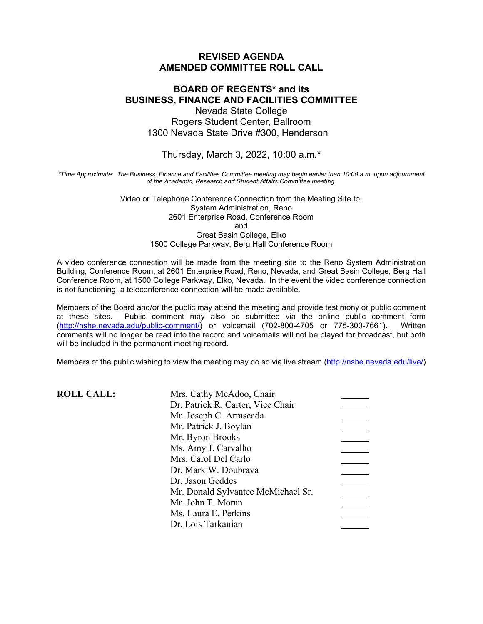### **REVISED AGENDA AMENDED COMMITTEE ROLL CALL**

### **BOARD OF REGENTS\* and its BUSINESS, FINANCE AND FACILITIES COMMITTEE** Nevada State College Rogers Student Center, Ballroom 1300 Nevada State Drive #300, Henderson

#### Thursday, March 3, 2022, 10:00 a.m.\*

*\*Time Approximate: The Business, Finance and Facilities Committee meeting may begin earlier than 10:00 a.m. upon adjournment of the Academic, Research and Student Affairs Committee meeting.*

> Video or Telephone Conference Connection from the Meeting Site to: System Administration, Reno 2601 Enterprise Road, Conference Room and Great Basin College, Elko 1500 College Parkway, Berg Hall Conference Room

A video conference connection will be made from the meeting site to the Reno System Administration Building, Conference Room, at 2601 Enterprise Road, Reno, Nevada, and Great Basin College, Berg Hall Conference Room, at 1500 College Parkway, Elko, Nevada. In the event the video conference connection is not functioning, a teleconference connection will be made available.

Members of the Board and/or the public may attend the meeting and provide testimony or public comment to at these sites. Public comment may also be submitted via the online public comment form Public comment may also be submitted via the online public comment form<br>i.edu/public-comment/) or voicemail (702-800-4705 or 775-300-7661). Written [\(http://nshe.nevada.edu/public-comment/\)](http://nshe.nevada.edu/public-comment/) or voicemail (702-800-4705 or 775-300-7661). comments will no longer be read into the record and voicemails will not be played for broadcast, but both will be included in the permanent meeting record.

Members of the public wishing to view the meeting may do so via live stream [\(http://nshe.nevada.edu/live/\)](http://nshe.nevada.edu/live/)

| <b>ROLL CALL:</b> | Mrs. Cathy McAdoo, Chair           |  |
|-------------------|------------------------------------|--|
|                   | Dr. Patrick R. Carter, Vice Chair  |  |
|                   | Mr. Joseph C. Arrascada            |  |
|                   | Mr. Patrick J. Boylan              |  |
|                   | Mr. Byron Brooks                   |  |
|                   | Ms. Amy J. Carvalho                |  |
|                   | Mrs. Carol Del Carlo               |  |
|                   | Dr. Mark W. Doubrava               |  |
|                   | Dr. Jason Geddes                   |  |
|                   | Mr. Donald Sylvantee McMichael Sr. |  |
|                   | Mr. John T. Moran                  |  |
|                   | Ms. Laura E. Perkins               |  |
|                   | Dr. Lois Tarkanian                 |  |
|                   |                                    |  |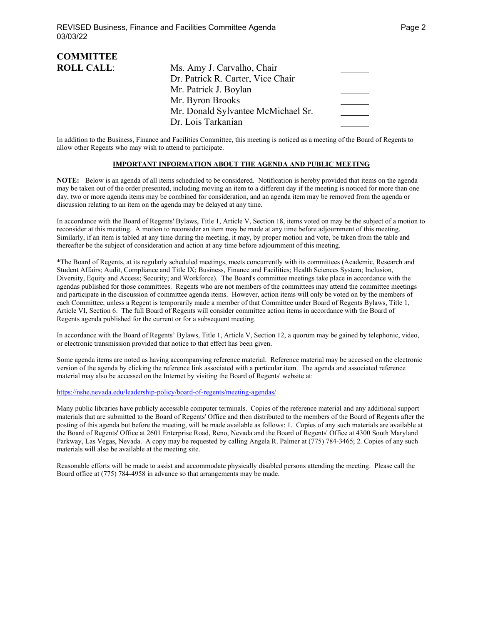| <b>COMMITTEE</b>  |                                    |  |
|-------------------|------------------------------------|--|
| <b>ROLL CALL:</b> | Ms. Amy J. Carvalho, Chair         |  |
|                   | Dr. Patrick R. Carter, Vice Chair  |  |
|                   | Mr. Patrick J. Boylan              |  |
|                   | Mr. Byron Brooks                   |  |
|                   | Mr. Donald Sylvantee McMichael Sr. |  |
|                   | Dr. Lois Tarkanian                 |  |

In addition to the Business, Finance and Facilities Committee, this meeting is noticed as a meeting of the Board of Regents to allow other Regents who may wish to attend to participate.

#### **IMPORTANT INFORMATION ABOUT THE AGENDA AND PUBLIC MEETING**

**NOTE:** Below is an agenda of all items scheduled to be considered. Notification is hereby provided that items on the agenda may be taken out of the order presented, including moving an item to a different day if the meeting is noticed for more than one day, two or more agenda items may be combined for consideration, and an agenda item may be removed from the agenda or discussion relating to an item on the agenda may be delayed at any time.

In accordance with the Board of Regents' Bylaws, Title 1, Article V, Section 18, items voted on may be the subject of a motion to reconsider at this meeting. A motion to reconsider an item may be made at any time before adjournment of this meeting. Similarly, if an item is tabled at any time during the meeting, it may, by proper motion and vote, be taken from the table and thereafter be the subject of consideration and action at any time before adjournment of this meeting.

\*The Board of Regents, at its regularly scheduled meetings, meets concurrently with its committees (Academic, Research and Student Affairs; Audit, Compliance and Title IX; Business, Finance and Facilities; Health Sciences System; Inclusion, Diversity, Equity and Access; Security; and Workforce). The Board's committee meetings take place in accordance with the agendas published for those committees. Regents who are not members of the committees may attend the committee meetings and participate in the discussion of committee agenda items. However, action items will only be voted on by the members of each Committee, unless a Regent is temporarily made a member of that Committee under Board of Regents Bylaws, Title 1, Article VI, Section 6. The full Board of Regents will consider committee action items in accordance with the Board of Regents agenda published for the current or for a subsequent meeting.

In accordance with the Board of Regents' Bylaws, Title 1, Article V, Section 12, a quorum may be gained by telephonic, video, or electronic transmission provided that notice to that effect has been given.

Some agenda items are noted as having accompanying reference material. Reference material may be accessed on the electronic version of the agenda by clicking the reference link associated with a particular item. The agenda and associated reference material may also be accessed on the Internet by visiting the Board of Regents' website at:

<https://nshe.nevada.edu/leadership-policy/board-of-regents/meeting-agendas/>

Many public libraries have publicly accessible computer terminals. Copies of the reference material and any additional support materials that are submitted to the Board of Regents' Office and then distributed to the members of the Board of Regents after the posting of this agenda but before the meeting, will be made available as follows: 1. Copies of any such materials are available at the Board of Regents' Office at 2601 Enterprise Road, Reno, Nevada and the Board of Regents' Office at 4300 South Maryland Parkway, Las Vegas, Nevada. A copy may be requested by calling Angela R. Palmer at (775) 784-3465; 2. Copies of any such materials will also be available at the meeting site.

Reasonable efforts will be made to assist and accommodate physically disabled persons attending the meeting. Please call the Board office at (775) 784-4958 in advance so that arrangements may be made.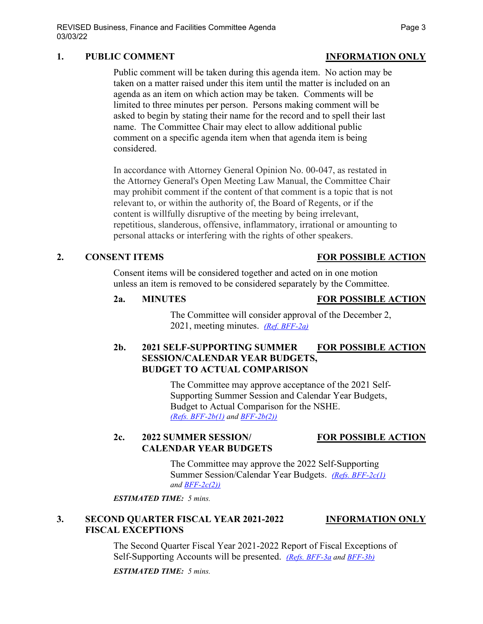### **1. PUBLIC COMMENT INFORMATION ONLY**

Public comment will be taken during this agenda item. No action may be taken on a matter raised under this item until the matter is included on an agenda as an item on which action may be taken. Comments will be limited to three minutes per person. Persons making comment will be asked to begin by stating their name for the record and to spell their last name. The Committee Chair may elect to allow additional public comment on a specific agenda item when that agenda item is being considered.

In accordance with Attorney General Opinion No. 00-047, as restated in the Attorney General's Open Meeting Law Manual, the Committee Chair may prohibit comment if the content of that comment is a topic that is not relevant to, or within the authority of, the Board of Regents, or if the content is willfully disruptive of the meeting by being irrelevant, repetitious, slanderous, offensive, inflammatory, irrational or amounting to personal attacks or interfering with the rights of other speakers.

### **2. CONSENT ITEMS FOR POSSIBLE ACTION**

Consent items will be considered together and acted on in one motion unless an item is removed to be considered separately by the Committee.

#### **2a. MINUTES FOR POSSIBLE ACTION**

The Committee will consider approval of the December 2, 2021, meeting minutes. *[\(Ref. BFF-2a\)](https://nshe.nevada.edu/wp-content/uploads/file/BoardOfRegents/Agendas/2022/03-mar-mtgs/bff-refs/BFF-2a.pdf)*

# **2b. 2021 SELF-SUPPORTING SUMMER FOR POSSIBLE ACTION SESSION/CALENDAR YEAR BUDGETS, BUDGET TO ACTUAL COMPARISON**

The Committee may approve acceptance of the 2021 Self-Supporting Summer Session and Calendar Year Budgets, Budget to Actual Comparison for the NSHE. *[\(Refs. BFF-2b\(1\)](https://nshe.nevada.edu/wp-content/uploads/file/BoardOfRegents/Agendas/2022/03-mar-mtgs/bff-refs/BFF-2b(1).pdf) and [BFF-2b\(2\)\)](https://nshe.nevada.edu/wp-content/uploads/file/BoardOfRegents/Agendas/2022/03-mar-mtgs/bff-refs/BFF-2b(2).pdf)*

# **2c. 2022 SUMMER SESSION/ FOR POSSIBLE ACTION CALENDAR YEAR BUDGETS**

The Committee may approve the 2022 Self-Supporting Summer Session/Calendar Year Budgets. *[\(Refs. BFF-2c\(1\)](https://nshe.nevada.edu/wp-content/uploads/file/BoardOfRegents/Agendas/2022/03-mar-mtgs/bff-refs/BFF-2c(1).pdf) an[d BFF-2c\(2\)\)](https://nshe.nevada.edu/wp-content/uploads/file/BoardOfRegents/Agendas/2022/03-mar-mtgs/bff-refs/BFF-2c(2).pdf)*

*ESTIMATED TIME: 5 mins.*

# **3. SECOND QUARTER FISCAL YEAR 2021-2022 INFORMATION ONLY FISCAL EXCEPTIONS**

The Second Quarter Fiscal Year 2021-2022 Report of Fiscal Exceptions of Self-Supporting Accounts will be presented. *[\(Refs. BFF-3a](https://nshe.nevada.edu/wp-content/uploads/file/BoardOfRegents/Agendas/2022/03-mar-mtgs/bff-refs/BFF-3a.pdf) and [BFF-3b\)](https://nshe.nevada.edu/wp-content/uploads/file/BoardOfRegents/Agendas/2022/03-mar-mtgs/bff-refs/BFF-3b.pdf)*

*ESTIMATED TIME: 5 mins.*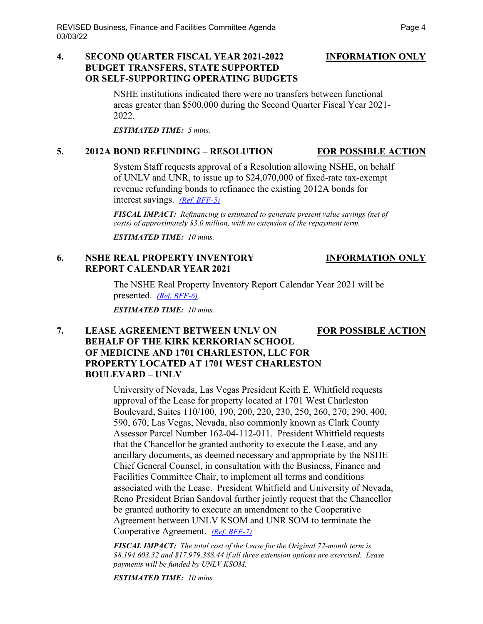### **4. SECOND QUARTER FISCAL YEAR 2021-2022 INFORMATION ONLY BUDGET TRANSFERS, STATE SUPPORTED OR SELF-SUPPORTING OPERATING BUDGETS**

NSHE institutions indicated there were no transfers between functional areas greater than \$500,000 during the Second Quarter Fiscal Year 2021- 2022.

*ESTIMATED TIME: 5 mins.*

# **5. 2012A BOND REFUNDING – RESOLUTION FOR POSSIBLE ACTION**

System Staff requests approval of a Resolution allowing NSHE, on behalf of UNLV and UNR, to issue up to \$24,070,000 of fixed-rate tax-exempt revenue refunding bonds to refinance the existing 2012A bonds for interest savings. *[\(Ref. BFF-5\)](https://nshe.nevada.edu/wp-content/uploads/file/BoardOfRegents/Agendas/2022/03-mar-mtgs/bff-refs/BFF-5.pdf)*

*FISCAL IMPACT: Refinancing is estimated to generate present value savings (net of costs) of approximately \$3.0 million, with no extension of the repayment term.* 

*ESTIMATED TIME: 10 mins.*

# **6. NSHE REAL PROPERTY INVENTORY INFORMATION ONLY REPORT CALENDAR YEAR 2021**

The NSHE Real Property Inventory Report Calendar Year 2021 will be presented. *[\(Ref. BFF-6\)](https://nshe.nevada.edu/wp-content/uploads/file/BoardOfRegents/Agendas/2022/03-mar-mtgs/bff-refs/BFF-6.pdf)*

*ESTIMATED TIME: 10 mins.*

# **7. LEASE AGREEMENT BETWEEN UNLV ON FOR POSSIBLE ACTION BEHALF OF THE KIRK KERKORIAN SCHOOL OF MEDICINE AND 1701 CHARLESTON, LLC FOR PROPERTY LOCATED AT 1701 WEST CHARLESTON BOULEVARD – UNLV**

University of Nevada, Las Vegas President Keith E. Whitfield requests approval of the Lease for property located at 1701 West Charleston Boulevard, Suites 110/100, 190, 200, 220, 230, 250, 260, 270, 290, 400, 590, 670, Las Vegas, Nevada, also commonly known as Clark County Assessor Parcel Number 162-04-112-011. President Whitfield requests that the Chancellor be granted authority to execute the Lease, and any ancillary documents, as deemed necessary and appropriate by the NSHE Chief General Counsel, in consultation with the Business, Finance and Facilities Committee Chair, to implement all terms and conditions associated with the Lease. President Whitfield and University of Nevada, Reno President Brian Sandoval further jointly request that the Chancellor be granted authority to execute an amendment to the Cooperative Agreement between UNLV KSOM and UNR SOM to terminate the Cooperative Agreement. *[\(Ref. BFF-7\)](https://nshe.nevada.edu/wp-content/uploads/file/BoardOfRegents/Agendas/2022/03-mar-mtgs/bff-refs/BFF-7.pdf)*

*FISCAL IMPACT: The total cost of the Lease for the Original 72-month term is \$8,194,603.32 and \$17,979,388.44 if all three extension options are exercised. Lease payments will be funded by UNLV KSOM.* 

*ESTIMATED TIME: 10 mins.*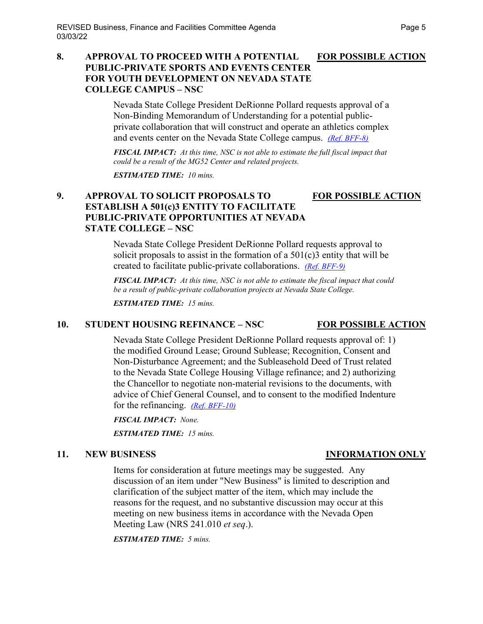### **8. APPROVAL TO PROCEED WITH A POTENTIAL FOR POSSIBLE ACTION PUBLIC-PRIVATE SPORTS AND EVENTS CENTER FOR YOUTH DEVELOPMENT ON NEVADA STATE COLLEGE CAMPUS – NSC**

Nevada State College President DeRionne Pollard requests approval of a Non-Binding Memorandum of Understanding for a potential publicprivate collaboration that will construct and operate an athletics complex and events center on the Nevada State College campus. *[\(Ref. BFF-8\)](https://nshe.nevada.edu/wp-content/uploads/file/BoardOfRegents/Agendas/2022/03-mar-mtgs/bff-refs/BFF-8.pdf)*

*FISCAL IMPACT: At this time, NSC is not able to estimate the full fiscal impact that could be a result of the MG52 Center and related projects.* 

*ESTIMATED TIME: 10 mins.*

# **9. APPROVAL TO SOLICIT PROPOSALS TO FOR POSSIBLE ACTION ESTABLISH A 501(c)3 ENTITY TO FACILITATE PUBLIC-PRIVATE OPPORTUNITIES AT NEVADA STATE COLLEGE – NSC**

Nevada State College President DeRionne Pollard requests approval to solicit proposals to assist in the formation of a  $501(c)3$  entity that will be created to facilitate public-private collaborations. *[\(Ref. BFF-9\)](https://nshe.nevada.edu/wp-content/uploads/file/BoardOfRegents/Agendas/2022/03-mar-mtgs/bff-refs/BFF-9.pdf)*

*FISCAL IMPACT: At this time, NSC is not able to estimate the fiscal impact that could be a result of public-private collaboration projects at Nevada State College.* 

*ESTIMATED TIME: 15 mins.*

# 10. **STUDENT HOUSING REFINANCE – NSC FOR POSSIBLE ACTION**

Nevada State College President DeRionne Pollard requests approval of: 1) the modified Ground Lease; Ground Sublease; Recognition, Consent and Non-Disturbance Agreement; and the Subleasehold Deed of Trust related to the Nevada State College Housing Village refinance; and 2) authorizing the Chancellor to negotiate non-material revisions to the documents, with advice of Chief General Counsel, and to consent to the modified Indenture for the refinancing. *[\(Ref. BFF-10\)](https://nshe.nevada.edu/wp-content/uploads/file/BoardOfRegents/Agendas/2022/03-mar-mtgs/bff-refs/BFF-10.pdf)*

*FISCAL IMPACT: None.* 

*ESTIMATED TIME: 15 mins.*

Items for consideration at future meetings may be suggested. Any discussion of an item under "New Business" is limited to description and clarification of the subject matter of the item, which may include the reasons for the request, and no substantive discussion may occur at this meeting on new business items in accordance with the Nevada Open Meeting Law (NRS 241.010 *et seq*.).

*ESTIMATED TIME: 5 mins.*

# **11. NEW BUSINESS INFORMATION ONLY**